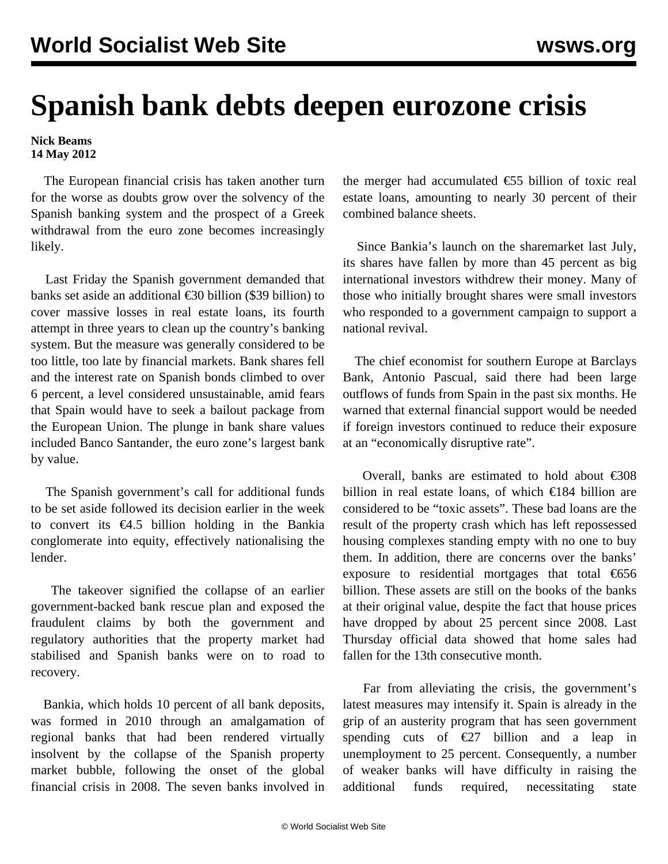## **Spanish bank debts deepen eurozone crisis**

**Nick Beams 14 May 2012**

 The European financial crisis has taken another turn for the worse as doubts grow over the solvency of the Spanish banking system and the prospect of a Greek withdrawal from the euro zone becomes increasingly likely.

 Last Friday the Spanish government demanded that banks set aside an additional €30 billion (\$39 billion) to cover massive losses in real estate loans, its fourth attempt in three years to clean up the country's banking system. But the measure was generally considered to be too little, too late by financial markets. Bank shares fell and the interest rate on Spanish bonds climbed to over 6 percent, a level considered unsustainable, amid fears that Spain would have to seek a bailout package from the European Union. The plunge in bank share values included Banco Santander, the euro zone's largest bank by value.

 The Spanish government's call for additional funds to be set aside followed its decision earlier in the week to convert its  $\epsilon$ 4.5 billion holding in the Bankia conglomerate into equity, effectively nationalising the lender.

 The takeover signified the collapse of an earlier government-backed bank rescue plan and exposed the fraudulent claims by both the government and regulatory authorities that the property market had stabilised and Spanish banks were on to road to recovery.

 Bankia, which holds 10 percent of all bank deposits, was formed in 2010 through an amalgamation of regional banks that had been rendered virtually insolvent by the collapse of the Spanish property market bubble, following the onset of the global financial crisis in 2008. The seven banks involved in the merger had accumulated  $\epsilon$ 55 billion of toxic real estate loans, amounting to nearly 30 percent of their combined balance sheets.

 Since Bankia's launch on the sharemarket last July, its shares have fallen by more than 45 percent as big international investors withdrew their money. Many of those who initially brought shares were small investors who responded to a government campaign to support a national revival.

 The chief economist for southern Europe at Barclays Bank, Antonio Pascual, said there had been large outflows of funds from Spain in the past six months. He warned that external financial support would be needed if foreign investors continued to reduce their exposure at an "economically disruptive rate".

Overall, banks are estimated to hold about  $\epsilon$ 308 billion in real estate loans, of which €184 billion are considered to be "toxic assets". These bad loans are the result of the property crash which has left repossessed housing complexes standing empty with no one to buy them. In addition, there are concerns over the banks' exposure to residential mortgages that total €656 billion. These assets are still on the books of the banks at their original value, despite the fact that house prices have dropped by about 25 percent since 2008. Last Thursday official data showed that home sales had fallen for the 13th consecutive month.

 Far from alleviating the crisis, the government's latest measures may intensify it. Spain is already in the grip of an austerity program that has seen government spending cuts of  $\epsilon$ 27 billion and a leap in unemployment to 25 percent. Consequently, a number of weaker banks will have difficulty in raising the additional funds required, necessitating state